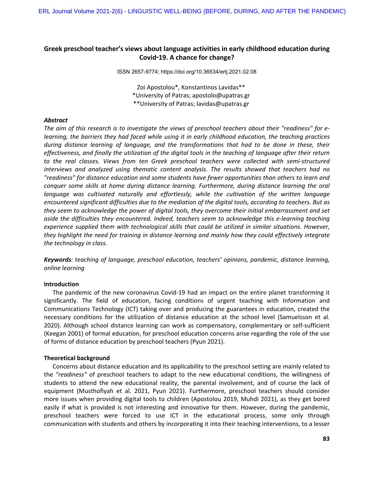# **Greek preschool teacher's views about language activities in early childhood education during Covid‑19. A chance for change?**

ISSN 2657-9774; https://doi.org/10.36534/erlj.2021.02.08

Zoi Apostolou\*, Konstantinos Lavidas\*\* \*University of Patras; apostolo@upatras.gr \*\*University of Patras; lavidas@upatras.gr

# *Abstract*

*The aim of this research is to investigate the views of preschool teachers about their "readiness" for elearning, the barriers they had faced while using it in early childhood education, the teaching practices during distance learning of language, and the transformations that had to be done in these, their effectiveness, and finally the utilization of the digital tools in the teaching of language after their return to the real classes. Views from ten Greek preschool teachers were collected with semi-structured interviews and analyzed using thematic content analysis. The results showed that teachers had no "readiness" for distance education and some students have fewer opportunities than others to learn and conquer some skills at home during distance learning. Furthermore, during distance learning the oral*  language was cultivated naturally and effortlessly, while the cultivation of the written language *encountered significant difficulties due to the mediation of the digital tools, according to teachers. But as they seem to acknowledge the power of digital tools, they overcome their initial embarrassment and set aside the difficulties they encountered. Indeed, teachers seem to acknowledge this e-learning teaching experience supplied them with technological skills that could be utilized in similar situations. However, they highlight the need for training in distance learning and mainly how they could effectively integrate the technology in class.*

*Keywords: teaching of language, preschool education, teachers' opinions, pandemic, distance learning, online learning* 

#### **Introduction**

The pandemic of the new coronavirus Covid-19 had an impact on the entire planet transforming it significantly. The field of education, facing conditions of urgent teaching with Information and Communications Technology (ICT) taking over and producing the guarantees in education, created the necessary conditions for the utilization of distance education at the school level (Samuelsson et al. 2020). Although school distance learning can work as compensatory, complementary or self-sufficient (Keegan 2001) of formal education, for preschool education concerns arise regarding the role of the use of forms of distance education by preschool teachers (Pyun 2021).

#### **Theoretical background**

Concerns about distance education and its applicability to the preschool setting are mainly related to the *"readiness"* of preschool teachers to adapt to the new educational conditions, the willingness of students to attend the new educational reality, the parental involvement, and of course the lack of equipment (Musthofiyah et al. 2021, Pyun 2021). Furthermore, preschool teachers should consider more issues when providing digital tools to children (Apostolou 2019, Muhdi 2021), as they get bored easily if what is provided is not interesting and innovative for them. However, during the pandemic, preschool teachers were forced to use ICT in the educational process, some only through communication with students and others by incorporating it into their teaching interventions, to a lesser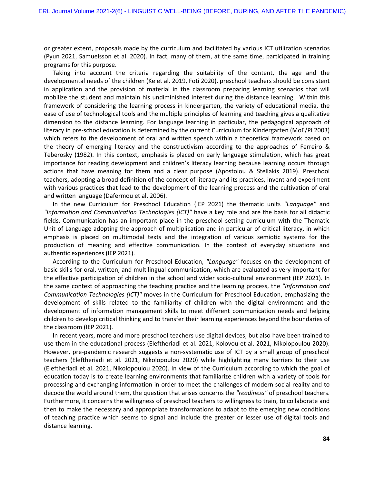or greater extent, proposals made by the curriculum and facilitated by various ICT utilization scenarios (Pyun 2021, Samuelsson et al. 2020). In fact, many of them, at the same time, participated in training programs for this purpose.

Taking into account the criteria regarding the suitability of the content, the age and the developmental needs of the children (Ke et al. 2019, Foti 2020), preschool teachers should be consistent in application and the provision of material in the classroom preparing learning scenarios that will mobilize the student and maintain his undiminished interest during the distance learning. Within this framework of considering the learning process in kindergarten, the variety of educational media, the ease of use of technological tools and the multiple principles of learning and teaching gives a qualitative dimension to the distance learning. For language learning in particular, the pedagogical approach of literacy in pre-school education is determined by the current Curriculum for Kindergarten (MoE/PI 2003) which refers to the development of oral and written speech within a theoretical framework based on the theory of emerging literacy and the constructivism according to the approaches of Ferreiro & Teberosky (1982). In this context, emphasis is placed on early language stimulation, which has great importance for reading development and children's literacy learning because learning occurs through actions that have meaning for them and a clear purpose (Apostolou & Stellakis 2019). Preschool teachers, adopting a broad definition of the concept of literacy and its practices, invent and experiment with various practices that lead to the development of the learning process and the cultivation of oral and written language (Dafermou et al. 2006).

In the new Curriculum for Preschool Education (IEP 2021) the thematic units *"Language"* and *"Information and Communication Technologies (ICT)"* have a key role and are the basis for all didactic fields. Communication has an important place in the preschool setting curriculum with the Thematic Unit of Language adopting the approach of multiplication and in particular of critical literacy, in which emphasis is placed on multimodal texts and the integration of various semiotic systems for the production of meaning and effective communication. In the context of everyday situations and authentic experiences (IEP 2021).

According to the Curriculum for Preschool Education, *"Language"* focuses on the development of basic skills for oral, written, and multilingual communication, which are evaluated as very important for the effective participation of children in the school and wider socio-cultural environment (IEP 2021). In the same context of approaching the teaching practice and the learning process, the *"Information and Communication Technologies (ICT)"* moves in the Curriculum for Preschool Education, emphasizing the development of skills related to the familiarity of children with the digital environment and the development of information management skills to meet different communication needs and helping children to develop critical thinking and to transfer their learning experiences beyond the boundaries of the classroom (IEP 2021).

In recent years, more and more preschool teachers use digital devices, but also have been trained to use them in the educational process (Eleftheriadi et al. 2021, Kolovou et al. 2021, Nikolopoulou 2020). However, pre-pandemic research suggests a non-systematic use of ICT by a small group of preschool teachers (Eleftheriadi et al. 2021, Nikolopoulou 2020) while highlighting many barriers to their use (Eleftheriadi et al. 2021, Nikolopoulou 2020). In view of the Curriculum according to which the goal of education today is to create learning environments that familiarize children with a variety of tools for processing and exchanging information in order to meet the challenges of modern social reality and to decode the world around them, the question that arises concerns the *"readiness"* of preschool teachers. Furthermore, it concerns the willingness of preschool teachers to willingness to train, to collaborate and then to make the necessary and appropriate transformations to adapt to the emerging new conditions of teaching practice which seems to signal and include the greater or lesser use of digital tools and distance learning.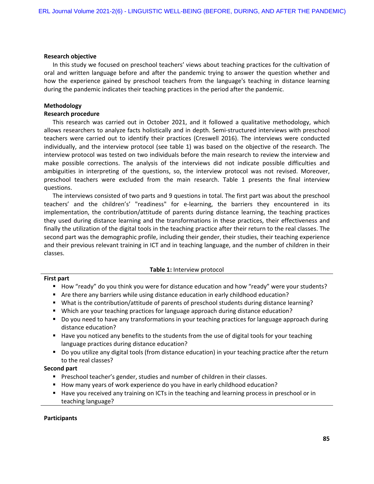#### **Research objective**

In this study we focused on preschool teachers' views about teaching practices for the cultivation of oral and written language before and after the pandemic trying to answer the question whether and how the experience gained by preschool teachers from the language's teaching in distance learning during the pandemic indicates their teaching practices in the period after the pandemic.

# **Methodology**

# **Research procedure**

This research was carried out in October 2021, and it followed a qualitative methodology, which allows researchers to analyze facts holistically and in depth. Semi-structured interviews with preschool teachers were carried out to identify their practices (Creswell 2016). The interviews were conducted individually, and the interview protocol (see table 1) was based on the objective of the research. The interview protocol was tested on two individuals before the main research to review the interview and make possible corrections. The analysis of the interviews did not indicate possible difficulties and ambiguities in interpreting of the questions, so, the interview protocol was not revised. Moreover, preschool teachers were excluded from the main research. Table 1 presents the final interview questions.

The interviews consisted of two parts and 9 questions in total. The first part was about the preschool teachers' and the children's' "readiness" for e-learning, the barriers they encountered in its implementation, the contribution/attitude of parents during distance learning, the teaching practices they used during distance learning and the transformations in these practices, their effectiveness and finally the utilization of the digital tools in the teaching practice after their return to the real classes. The second part was the demographic profile, including their gender, their studies, their teaching experience and their previous relevant training in ICT and in teaching language, and the number of children in their classes.

#### **Table 1:** Interview protocol

## **First part**

- How "ready" do you think you were for distance education and how "ready" were your students?
- Are there any barriers while using distance education in early childhood education?
- What is the contribution/attitude of parents of preschool students during distance learning?
- Which are your teaching practices for language approach during distance education?
- Do you need to have any transformations in your teaching practices for language approach during distance education?
- Have you noticed any benefits to the students from the use of digital tools for your teaching language practices during distance education?
- Do you utilize any digital tools (from distance education) in your teaching practice after the return to the real classes?

#### **Second part**

- **Preschool teacher's gender, studies and number of children in their classes.**
- How many years of work experience do you have in early childhood education?
- Have you received any training on ICTs in the teaching and learning process in preschool or in teaching language?

#### **Participants**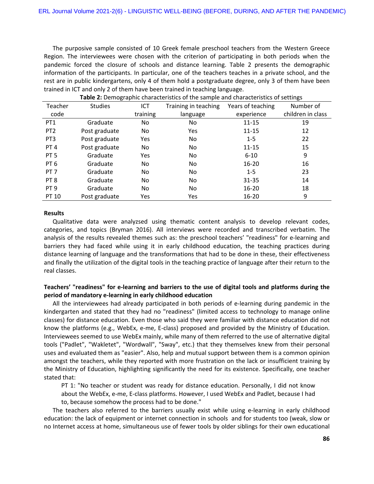The purposive sample consisted of 10 Greek female preschool teachers from the Western Greece Region. The interviewees were chosen with the criterion of participating in both periods when the pandemic forced the closure of schools and distance learning. Table 2 presents the demographic information of the participants. In particular, one of the teachers teaches in a private school, and the rest are in public kindergartens, only 4 of them hold a postgraduate degree, only 3 of them have been trained in ICT and only 2 of them have been trained in teaching language.

| <b>Table 2.</b> Demographic characteristics of the sample and characteristics of settings |                |          |                      |                   |                   |
|-------------------------------------------------------------------------------------------|----------------|----------|----------------------|-------------------|-------------------|
| Teacher                                                                                   | <b>Studies</b> | ICT      | Training in teaching | Years of teaching | Number of         |
| code                                                                                      |                | training | language             | experience        | children in class |
| PT <sub>1</sub>                                                                           | Graduate       | No.      | No.                  | $11 - 15$         | 19                |
| PT <sub>2</sub>                                                                           | Post graduate  | No.      | <b>Yes</b>           | $11 - 15$         | 12                |
| PT <sub>3</sub>                                                                           | Post graduate  | Yes      | No.                  | $1 - 5$           | 22                |
| PT <sub>4</sub>                                                                           | Post graduate  | No       | No                   | $11 - 15$         | 15                |
| PT <sub>5</sub>                                                                           | Graduate       | Yes      | No                   | $6 - 10$          | 9                 |
| PT <sub>6</sub>                                                                           | Graduate       | No.      | No                   | $16 - 20$         | 16                |
| PT <sub>7</sub>                                                                           | Graduate       | No.      | No                   | $1 - 5$           | 23                |
| PT <sub>8</sub>                                                                           | Graduate       | No       | No                   | $31 - 35$         | 14                |
| PT <sub>9</sub>                                                                           | Graduate       | No.      | No.                  | $16 - 20$         | 18                |
| PT 10                                                                                     | Post graduate  | Yes      | Yes                  | $16 - 20$         | 9                 |

**Table 2:** Demographic characteristics of the sample and characteristics of settings

#### **Results**

Qualitative data were analyzsed using thematic content analysis to develop relevant codes, categories, and topics (Bryman 2016). All interviews were recorded and transcribed verbatim. The analysis of the results revealed themes such as: the preschool teachers' "readiness" for e-learning and barriers they had faced while using it in early childhood education, the teaching practices during distance learning of language and the transformations that had to be done in these, their effectiveness and finally the utilization of the digital tools in the teaching practice of language after their return to the real classes.

# **Teachers' "readiness" for e-learning and barriers to the use of digital tools and platforms during the period of mandatory e-learning in early childhood education**

All the interviewees had already participated in both periods of e-learning during pandemic in the kindergarten and stated that they had no "readiness" (limited access to technology to manage online classes) for distance education. Even those who said they were familiar with distance education did not know the platforms (e.g., WebEx, e-me, E-class) proposed and provided by the Ministry of Education. Interviewees seemed to use WebEx mainly, while many of them referred to the use of alternative digital tools ("Padlet", "Wakletet", "Wordwall", "Sway", etc.) that they themselves knew from their personal uses and evaluated them as "easier". Also, help and mutual support between them is a common opinion amongst the teachers, while they reported with more frustration on the lack or insufficient training by the Ministry of Education, highlighting significantly the need for its existence. Specifically, one teacher stated that:

PT 1: "No teacher or student was ready for distance education. Personally, I did not know about the WebEx, e-me, E-class platforms. However, I used WebEx and Padlet, because I had to, because somehow the process had to be done."

The teachers also referred to the barriers usually exist while using e-learning in early childhood education: the lack of equipment or internet connection in schools and for students too (weak, slow or no Internet access at home, simultaneous use of fewer tools by older siblings for their own educational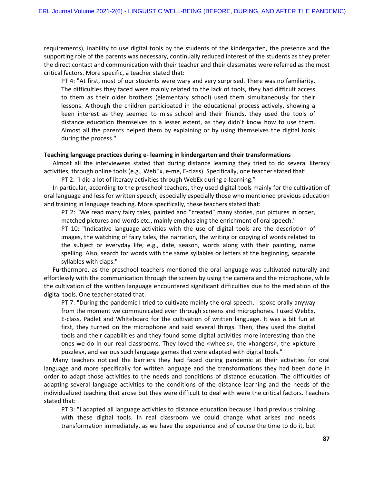requirements), inability to use digital tools by the students of the kindergarten, the presence and the supporting role of the parents was necessary, continually reduced interest of the students as they prefer the direct contact and communication with their teacher and their classmates were referred as the most critical factors. More specific, a teacher stated that:

PT 4: "At first, most of our students were wary and very surprised. There was no familiarity. The difficulties they faced were mainly related to the lack of tools, they had difficult access to them as their older brothers (elementary school) used them simultaneously for their lessons. Although the children participated in the educational process actively, showing a keen interest as they seemed to miss school and their friends, they used the tools of distance education themselves to a lesser extent, as they didn't know how to use them. Almost all the parents helped them by explaining or by using themselves the digital tools during the process."

#### **Teaching language practices during e- learning in kindergarten and their transformations**

Almost all the interviewees stated that during distance learning they tried to do several literacy activities, through online tools (e.g., WebEx, e-me, E-class). Specifically, one teacher stated that:

PT 2: "I did a lot of literacy activities through WebEx during e-learning."

In particular, according to the preschool teachers, they used digital tools mainly for the cultivation of oral language and less for written speech, especially especially those who mentioned previous education and training in language teaching. More specifically, these teachers stated that:

PT 2: "We read many fairy tales, painted and "created" many stories, put pictures in order, matched pictures and words etc., mainly emphasizing the enrichment of oral speech."

PT 10: "Indicative language activities with the use of digital tools are the description of images, the watching of fairy tales, the narration, the writing or copying of words related to the subject or everyday life, e.g., date, season, words along with their painting, name spelling. Also, search for words with the same syllables or letters at the beginning, separate syllables with claps."

Furthermore, as the preschool teachers mentioned the oral language was cultivated naturally and effortlessly with the communication through the screen by using the camera and the microphone, while the cultivation of the written language encountered significant difficulties due to the mediation of the digital tools. One teacher stated that:

PT 7: "During the pandemic I tried to cultivate mainly the oral speech. I spoke orally anyway from the moment we communicated even through screens and microphones. I used WebEx, E-class, Padlet and Whiteboard for the cultivation of written language. It was a bit fun at first, they turned on the microphone and said several things. Then, they used the digital tools and their capabilities and they found some digital activities more interesting than the ones we do in our real classrooms. They loved the «wheels», the «hangers», the «picture puzzles», and various such language games that were adapted with digital tools."

Many teachers noticed the barriers they had faced during pandemic at their activities for oral language and more specifically for written language and the transformations they had been done in order to adapt those activities to the needs and conditions of distance education. The difficulties of adapting several language activities to the conditions of the distance learning and the needs of the individualized teaching that arose but they were difficult to deal with were the critical factors. Teachers stated that:

PT 3: "I adapted all language activities to distance education because I had previous training with these digital tools. In real classroom we could change what arises and needs transformation immediately, as we have the experience and of course the time to do it, but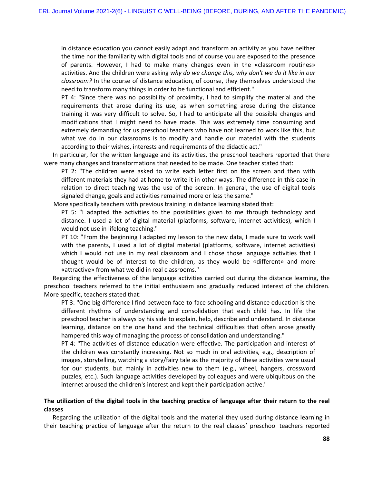in distance education you cannot easily adapt and transform an activity as you have neither the time nor the familiarity with digital tools and of course you are exposed to the presence of parents. However, I had to make many changes even in the «classroom routines» activities. And the children were asking *why do we change this, why don't we do it like in our classroom?* In the course of distance education, of course, they themselves understood the need to transform many things in order to be functional and efficient."

PT 4: "Since there was no possibility of proximity, I had to simplify the material and the requirements that arose during its use, as when something arose during the distance training it was very difficult to solve. So, I had to anticipate all the possible changes and modifications that I might need to have made. This was extremely time consuming and extremely demanding for us preschool teachers who have not learned to work like this, but what we do in our classrooms is to modify and handle our material with the students according to their wishes, interests and requirements of the didactic act."

In particular, for the written language and its activities, the preschool teachers reported that there were many changes and transformations that needed to be made. One teacher stated that:

PT 2: "The children were asked to write each letter first on the screen and then with different materials they had at home to write it in other ways. The difference in this case in relation to direct teaching was the use of the screen. In general, the use of digital tools signaled change, goals and activities remained more or less the same."

More specifically teachers with previous training in distance learning stated that:

PT 5: "I adapted the activities to the possibilities given to me through technology and distance. I used a lot of digital material (platforms, software, internet activities), which I would not use in lifelong teaching."

PT 10: "From the beginning I adapted my lesson to the new data, I made sure to work well with the parents, I used a lot of digital material (platforms, software, internet activities) which I would not use in my real classroom and I chose those language activities that I thought would be of interest to the children, as they would be «different» and more «attractive» from what we did in real classrooms."

Regarding the effectiveness of the language activities carried out during the distance learning, the preschool teachers referred to the initial enthusiasm and gradually reduced interest of the children. More specific, teachers stated that:

PT 3: "One big difference I find between face-to-face schooling and distance education is the different rhythms of understanding and consolidation that each child has. In life the preschool teacher is always by his side to explain, help, describe and understand. In distance learning, distance on the one hand and the technical difficulties that often arose greatly hampered this way of managing the process of consolidation and understanding."

PT 4: "The activities of distance education were effective. The participation and interest of the children was constantly increasing. Not so much in oral activities, e.g., description of images, storytelling, watching a story/fairy tale as the majority of these activities were usual for our students, but mainly in activities new to them (e.g., wheel, hangers, crossword puzzles, etc.). Such language activities developed by colleagues and were ubiquitous on the internet aroused the children's interest and kept their participation active."

# **The utilization of the digital tools in the teaching practice of language after their return to the real classes**

Regarding the utilization of the digital tools and the material they used during distance learning in their teaching practice of language after the return to the real classes' preschool teachers reported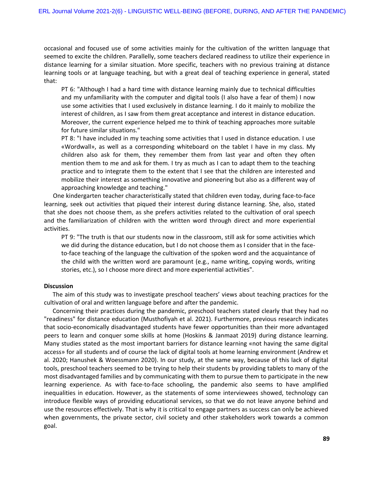occasional and focused use of some activities mainly for the cultivation of the written language that seemed to excite the children. Parallelly, some teachers declared readiness to utilize their experience in distance learning for a similar situation. More specific, teachers with no previous training at distance learning tools or at language teaching, but with a great deal of teaching experience in general, stated that:

PT 6: "Although I had a hard time with distance learning mainly due to technical difficulties and my unfamiliarity with the computer and digital tools (I also have a fear of them) I now use some activities that I used exclusively in distance learning. I do it mainly to mobilize the interest of children, as I saw from them great acceptance and interest in distance education. Moreover, the current experience helped me to think of teaching approaches more suitable for future similar situations."

PT 8: "I have included in my teaching some activities that I used in distance education. I use «Wordwall», as well as a corresponding whiteboard on the tablet I have in my class. My children also ask for them, they remember them from last year and often they often mention them to me and ask for them. I try as much as I can to adapt them to the teaching practice and to integrate them to the extent that I see that the children are interested and mobilize their interest as something innovative and pioneering but also as a different way of approaching knowledge and teaching."

One kindergarten teacher characteristically stated that children even today, during face-to-face learning, seek out activities that piqued their interest during distance learning. She, also, stated that she does not choose them, as she prefers activities related to the cultivation of oral speech and the familiarization of children with the written word through direct and more experiential activities.

PT 9: "The truth is that our students now in the classroom, still ask for some activities which we did during the distance education, but I do not choose them as I consider that in the faceto-face teaching of the language the cultivation of the spoken word and the acquaintance of the child with the written word are paramount (e.g., name writing, copying words, writing stories, etc.), so I choose more direct and more experiential activities".

#### **Discussion**

The aim of this study was to investigate preschool teachers' views about teaching practices for the cultivation of oral and written language before and after the pandemic.

Concerning their practices during the pandemic, preschool teachers stated clearly that they had no "readiness" for distance education (Musthofiyah et al. 2021). Furthermore, previous research indicates that socio-economically disadvantaged students have fewer opportunities than their more advantaged peers to learn and conquer some skills at home (Hoskins & Janmaat 2019) during distance learning. Many studies stated as the most important barriers for distance learning «not having the same digital access» for all students and of course the lack of digital tools at home learning environment (Andrew et al. 2020; Hanushek & Woessmann 2020). In our study, at the same way, because of this lack of digital tools, preschool teachers seemed to be trying to help their students by providing tablets to many of the most disadvantaged families and by communicating with them to pursue them to participate in the new learning experience. As with face-to-face schooling, the pandemic also seems to have amplified inequalities in education. However, as the statements of some interviewees showed, technology can introduce flexible ways of providing educational services, so that we do not leave anyone behind and use the resources effectively. That is why it is critical to engage partners as success can only be achieved when governments, the private sector, civil society and other stakeholders work towards a common goal.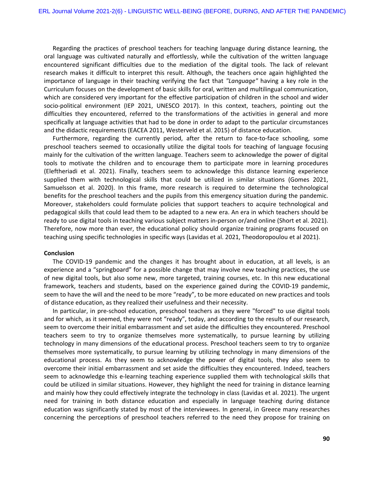Regarding the practices of preschool teachers for teaching language during distance learning, the oral language was cultivated naturally and effortlessly, while the cultivation of the written language encountered significant difficulties due to the mediation of the digital tools. The lack of relevant research makes it difficult to interpret this result. Although, the teachers once again highlighted the importance of language in their teaching verifying the fact that *"Language"* having a key role in the Curriculum focuses on the development of basic skills for oral, written and multilingual communication, which are considered very important for the effective participation of children in the school and wider socio-political environment (IEP 2021, UNESCO 2017). In this context, teachers, pointing out the difficulties they encountered, referred to the transformations of the activities in general and more specifically at language activities that had to be done in order to adapt to the particular circumstances and the didactic requirements (EACEA 2011, Westerveld et al. 2015) of distance education.

Furthermore, regarding the currently period, after the return to face-to-face schooling, some preschool teachers seemed to occasionally utilize the digital tools for teaching of language focusing mainly for the cultivation of the written language. Teachers seem to acknowledge the power of digital tools to motivate the children and to encourage them to participate more in learning procedures (Eleftheriadi et al. 2021). Finally, teachers seem to acknowledge this distance learning experience supplied them with technological skills that could be utilized in similar situations (Gomes 2021, Samuelsson et al. 2020). In this frame, more research is required to determine the technological benefits for the preschool teachers and the pupils from this emergency situation during the pandemic. Moreover, stakeholders could formulate policies that support teachers to acquire technological and pedagogical skills that could lead them to be adapted to a new era. An era in which teachers should be ready to use digital tools in teaching various subject matters in-person or/and online (Short et al. 2021). Therefore, now more than ever, the educational policy should organize training programs focused on teaching using specific technologies in specific ways (Lavidas et al. 2021, Theodoropoulou et al 2021).

#### **Conclusion**

The COVID-19 pandemic and the changes it has brought about in education, at all levels, is an experience and a "springboard" for a possible change that may involve new teaching practices, the use of new digital tools, but also some new, more targeted, training courses, etc. In this new educational framework, teachers and students, based on the experience gained during the COVID-19 pandemic, seem to have the will and the need to be more "ready", to be more educated on new practices and tools of distance education, as they realized their usefulness and their necessity.

In particular, in pre-school education, preschool teachers as they were "forced" to use digital tools and for which, as it seemed, they were not "ready", today, and according to the results of our research, seem to overcome their initial embarrassment and set aside the difficulties they encountered. Preschool teachers seem to try to organize themselves more systematically, to pursue learning by utilizing technology in many dimensions of the educational process. Preschool teachers seem to try to organize themselves more systematically, to pursue learning by utilizing technology in many dimensions of the educational process. As they seem to acknowledge the power of digital tools, they also seem to overcome their initial embarrassment and set aside the difficulties they encountered. Indeed, teachers seem to acknowledge this e-learning teaching experience supplied them with technological skills that could be utilized in similar situations. However, they highlight the need for training in distance learning and mainly how they could effectively integrate the technology in class (Lavidas et al. 2021). The urgent need for training in both distance education and especially in language teaching during distance education was significantly stated by most of the interviewees. In general, in Greece many researches concerning the perceptions of preschool teachers referred to the need they propose for training on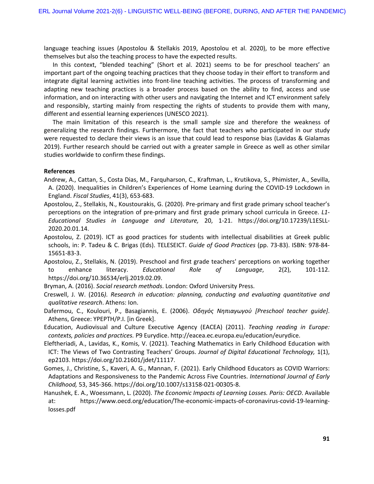language teaching issues (Apostolou & Stellakis 2019, Apostolou et al. 2020), to be more effective themselves but also the teaching process to have the expected results.

In this context, "blended teaching" (Short et al. 2021) seems to be for preschool teachers' an important part of the ongoing teaching practices that they choose today in their effort to transform and integrate digital learning activities into front-line teaching activities. The process of transforming and adapting new teaching practices is a broader process based on the ability to find, access and use information, and on interacting with other users and navigating the Internet and ICT environment safely and responsibly, starting mainly from respecting the rights of students to provide them with many, different and essential learning experiences (UNESCO 2021).

The main limitation of this research is the small sample size and therefore the weakness of generalizing the research findings. Furthermore, the fact that teachers who participated in our study were requested to declare their views is an issue that could lead to response bias (Lavidas & Gialamas 2019). Further research should be carried out with a greater sample in Greece as well as other similar studies worldwide to confirm these findings.

## **References**

- Andrew, A., Cattan, S., Costa Dias, M., Farquharson, C., Kraftman, L., Krutikova, S., Phimister, A., Sevilla, A. (2020). Inequalities in Children's Experiences of Home Learning during the COVID-19 Lockdown in England. *Fiscal Studies*, 41(3), 653-683.
- Apostolou, Z., Stellakis, N., Koustourakis, G. (2020). Pre-primary and first grade primary school teacher's perceptions on the integration of pre-primary and first grade primary school curricula in Greece. *L1- Educational Studies in Language and Literature,* 20, 1-21. [https://doi.org/10.17239/L1ESLL-](https://doi.org/10.17239/L1ESLL-2020.20.01.14)[2020.20.01.14](https://doi.org/10.17239/L1ESLL-2020.20.01.14).
- Apostolou, Z. (2019). ICT as good practices for students with intellectual disabilities at Greek public schools, in: P. Tadeu & C. Brigas (Eds). TELESEICT. *Guide of Good Practices* (pp. 73-83). ISBN: 978-84- 15651-83-3.
- Apostolou, Z., Stellakis, N. (2019). Preschool and first grade teachers' perceptions on working together to enhance literacy. *Educational Role of Language*, 2(2), 101-112. <https://doi.org/10.36534/erlj.2019.02.09>.

Bryman, A. (2016). *Social research methods*. London: Oxford University Press.

- Creswell, J. W. (2016*). Research in education: planning, conducting and evaluating quantitative and qualitative research*. Athens: Ion.
- Dafermou, C., Koulouri, P., Basagiannis, E. (2006). *Οδηγός Νηπιαγωγού [Preschool teacher guide]*. Athens, Greece: YPEPTH/P.I. [in Greek].

Education, Audiovisual and Culture Executive Agency (EACEA) (2011). *Teaching reading in Europe: contexts, policies and practices.* P9 Eurydice.<http://eacea.ec.europa.eu/education/eurydice>.

- Eleftheriadi, A., Lavidas, K., Komis, V. (2021). Teaching Mathematics in Early Childhood Education with ICT: The Views of Two Contrasting Teachers' Groups. *Journal of Digital Educational Technology,* 1(1), ep2103. <https://doi.org/10.21601/jdet/11117>.
- Gomes, J., Christine, S., Kaveri, A. G., Mannan, F. (2021). Early Childhood Educators as COVID Warriors: Adaptations and Responsiveness to the Pandemic Across Five Countries. *International Journal of Early Childhood,* 53, 345-366. <https://doi.org/10.1007/s13158-021-00305-8>.
- Hanushek, E. A., Woessmann, L. (2020). *The Economic Impacts of Learning Losses. Paris: OECD*. Available at: https://www.oecd.org/education/The-economic-impacts-of-coronavirus-covid-19-learninglosses.pdf